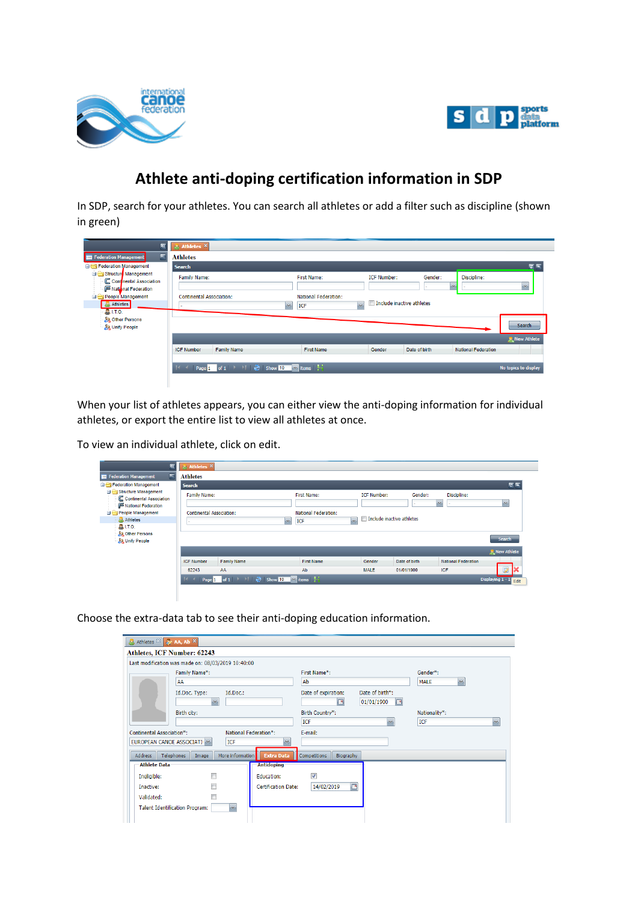



## **Athlete anti-doping certification information in SDP**

In SDP, search for your athletes. You can search all athletes or add a filter such as discipline (shown in green)

| ৰ<br><b>Federation Management</b><br>E                                                                                              | & Athletes X<br><b>Athletes</b>                 |                    |                                                                                            |                                                           |               |                              |                            |
|-------------------------------------------------------------------------------------------------------------------------------------|-------------------------------------------------|--------------------|--------------------------------------------------------------------------------------------|-----------------------------------------------------------|---------------|------------------------------|----------------------------|
| Federation Management                                                                                                               | <b>Search</b>                                   |                    |                                                                                            |                                                           |               |                              | 匢                          |
| Structure Management<br>C Continental Association<br>National Federation<br>People Management<br>Athletes<br>$\frac{1}{200}$ I.T.O. | Family Name:<br><b>Continental Association:</b> |                    | First Name:<br><b>National Federation:</b><br>ICF<br>$\mathbf{v}$                          | <b>ICF Number:</b><br>Include inactive athletes<br>$\sim$ | Gender:       | Discipline:<br>$\mathcal{M}$ | $\mathcal{M}_{\mathrm{m}}$ |
| <b>AR Other Persons</b><br><b>Sa Unify People</b>                                                                                   |                                                 |                    |                                                                                            |                                                           |               |                              | Search                     |
|                                                                                                                                     | <b>ICF Number</b>                               | <b>Family Name</b> | <b>First Name</b>                                                                          | Gender                                                    | Date of birth | <b>National Federation</b>   | <b>R</b> New Athlete       |
|                                                                                                                                     |                                                 |                    | <b>Page 1</b> of 1 $\rightarrow$ 1 $\rightarrow$ 5how 10 $\rightarrow$ items $\rightarrow$ |                                                           |               |                              | No topics to display       |

When your list of athletes appears, you can either view the anti-doping information for individual athletes, or export the entire list to view all athletes at once.

To view an individual athlete, click on edit.

| k                                                                                                                          | & Athletes X                                    |                    |                                                                                              |                                                 |               |                              |                                |
|----------------------------------------------------------------------------------------------------------------------------|-------------------------------------------------|--------------------|----------------------------------------------------------------------------------------------|-------------------------------------------------|---------------|------------------------------|--------------------------------|
| F<br><b>Federation Management</b>                                                                                          | <b>Athletes</b>                                 |                    |                                                                                              |                                                 |               |                              |                                |
| Federation Management                                                                                                      | <b>Search</b>                                   |                    |                                                                                              |                                                 |               |                              | z                              |
| Structure Management<br>C Continental Association<br>National Federation<br>People Management<br>Athletes<br><b>BIT.O.</b> | Family Name:<br><b>Continental Association:</b> |                    | First Name:<br><b>National Federation:</b><br>$\overline{\mathbf{v}}$<br>$\mathbf{v}$<br>ICF | <b>ICF Number:</b><br>Include inactive athletes | Gender:       | Discipline:<br>$\mathcal{M}$ | $\infty$                       |
| <b>AR Other Persons</b><br><b>Sa Unify People</b>                                                                          |                                                 |                    |                                                                                              |                                                 |               |                              | <b>Search</b><br>R New Athlete |
|                                                                                                                            | <b>ICF Number</b>                               | <b>Family Name</b> | <b>First Name</b>                                                                            | Gender                                          | Date of birth | <b>National Federation</b>   |                                |
|                                                                                                                            | 62243                                           | AA                 | Ab                                                                                           | <b>MALE</b>                                     | 01/01/1900    | ICF                          |                                |
|                                                                                                                            |                                                 |                    | Page 1 of 1 $\rightarrow$ 1 $\rightarrow$ 5 Show 10 $\rightarrow$ items $\rightarrow$        |                                                 |               |                              | Displaying 1 - 1 Edit          |
|                                                                                                                            |                                                 |                    |                                                                                              |                                                 |               |                              |                                |

Choose the extra-data tab to see their anti-doping education information.

| Athletes <sup>88</sup> 2 AA, Ab ×     |                                                           |                            |                                  |                 |                             |              |  |  |
|---------------------------------------|-----------------------------------------------------------|----------------------------|----------------------------------|-----------------|-----------------------------|--------------|--|--|
| Athletes, ICF Number: 62243           |                                                           |                            |                                  |                 |                             |              |  |  |
|                                       | Last modification was made on: 08/03/2019 10:40:00        |                            |                                  |                 |                             |              |  |  |
|                                       | Family Name*:                                             |                            | First Name*:                     |                 | Gender*:                    |              |  |  |
|                                       | AA                                                        |                            | Ab                               |                 | <b>MALE</b><br>$\mathbf{v}$ |              |  |  |
|                                       | Id.Doc. Type:<br>Id.Doc.:                                 |                            | Date of expiration:              | Date of birth*: |                             |              |  |  |
|                                       | $\mathbf{v}$                                              |                            | ◚                                | 01/01/1900<br>◚ |                             |              |  |  |
|                                       | Birth city:                                               |                            |                                  |                 | Nationality*:               |              |  |  |
|                                       |                                                           |                            |                                  | $\mathcal{M}$   | ICF                         | $\checkmark$ |  |  |
|                                       | <b>Continental Association*:</b><br>National Federation*: |                            |                                  | E-mail:         |                             |              |  |  |
| EUROPEAN CANOE ASSOCIATI ~            | ICF                                                       |                            |                                  |                 |                             |              |  |  |
| Telephones<br>Address                 | More information<br>Image                                 | <b>Extra Data</b>          | <b>Competitions</b><br>Biography |                 |                             |              |  |  |
| <b>Athlete Data</b>                   |                                                           | <b>Antidoping</b>          |                                  |                 |                             |              |  |  |
| Ineligible:                           |                                                           | Education:                 | $\overline{\mathcal{L}}$         |                 |                             |              |  |  |
| Inactive:                             |                                                           | <b>Certification Date:</b> | G<br>14/02/2019                  |                 |                             |              |  |  |
| Validated:                            |                                                           |                            |                                  |                 |                             |              |  |  |
| <b>Talent Identification Program:</b> | $\mathcal{A}$                                             |                            |                                  |                 |                             |              |  |  |
|                                       |                                                           |                            |                                  |                 |                             |              |  |  |
|                                       |                                                           |                            |                                  |                 |                             |              |  |  |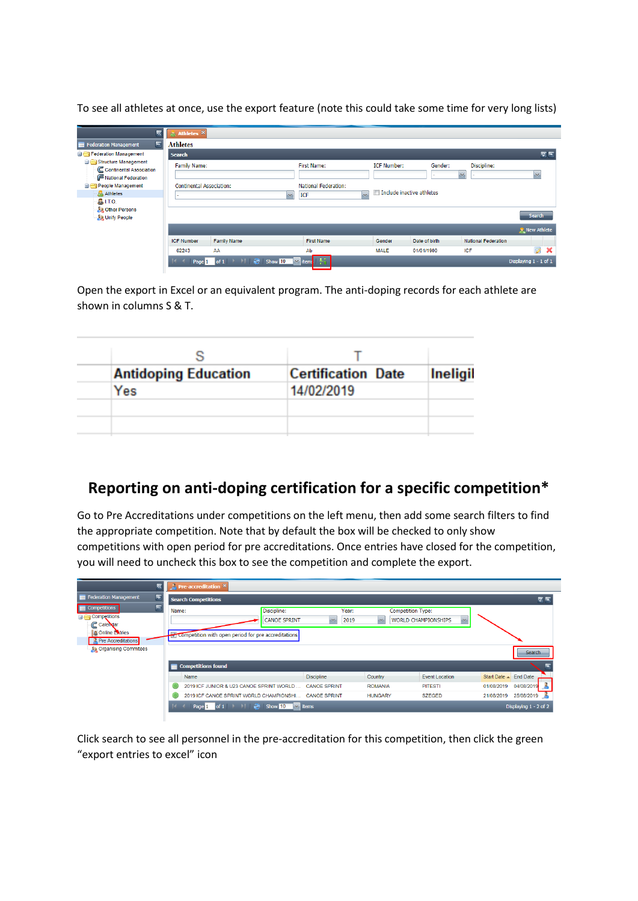To see all athletes at once, use the export feature (note this could take some time for very long lists)

| $\overline{\mathbf{x}}$                                                  | & Athletes X                    |                                                            |                                                          |                    |               |                                         |                                                     |
|--------------------------------------------------------------------------|---------------------------------|------------------------------------------------------------|----------------------------------------------------------|--------------------|---------------|-----------------------------------------|-----------------------------------------------------|
| F<br>Federation Management                                               | <b>Athletes</b>                 |                                                            |                                                          |                    |               |                                         |                                                     |
| <b>Exercise</b> Federation Management                                    | <b>Search</b>                   |                                                            |                                                          |                    |               |                                         | $\vert \overline{x} \vert \vert \overline{x} \vert$ |
| Structure Management<br>C Continental Association<br>National Federation | Family Name:                    |                                                            | <b>First Name:</b>                                       | <b>ICF Number:</b> | Gender:       | Discipline:<br>$\mathcal{M}_\mathrm{c}$ | <b>Sur</b>                                          |
| People Management                                                        | <b>Continental Association:</b> |                                                            | <b>National Federation:</b><br>Include inactive athletes |                    |               |                                         |                                                     |
| Athletes                                                                 |                                 | $\mathbf{v}$                                               | $\vee$<br>ICF                                            |                    |               |                                         |                                                     |
| <b>B.</b> I.T.O.<br><b>All Other Persons</b><br><b>Sa Unify People</b>   |                                 |                                                            |                                                          |                    |               |                                         | <b>Search</b>                                       |
|                                                                          |                                 |                                                            |                                                          |                    |               |                                         | R New Athlete                                       |
|                                                                          | <b>ICF Number</b>               | <b>Family Name</b>                                         | <b>First Name</b>                                        | Gender             | Date of birth | <b>National Federation</b>              |                                                     |
|                                                                          | 62243                           | AA                                                         | Ab                                                       | <b>MALE</b>        | 01/01/1900    | ICF                                     | Ø<br>×                                              |
|                                                                          | Page 1                          | of $1$           $\frac{28}{100}$<br>Show $10$ $\vee$ item |                                                          |                    |               |                                         | Displaying 1 - 1 of 1                               |

Open the export in Excel or an equivalent program. The anti-doping records for each athlete are shown in columns S & T.

| <b>Antidoping Education</b> | <b>Certification Date</b> | <b>Ineligil</b> |
|-----------------------------|---------------------------|-----------------|
| Yes                         | 14/02/2019                |                 |
|                             |                           |                 |
|                             |                           |                 |

## **Reporting on anti-doping certification for a specific competition\***

Go to Pre Accreditations under competitions on the left menu, then add some search filters to find the appropriate competition. Note that by default the box will be checked to only show competitions with open period for pre accreditations. Once entries have closed for the competition, you will need to uncheck this box to see the competition and complete the export.

|                                                                                                                        | <b>Pre-accreditation</b> $\times$                                                                  |                               |                                          |                                             |                                 |
|------------------------------------------------------------------------------------------------------------------------|----------------------------------------------------------------------------------------------------|-------------------------------|------------------------------------------|---------------------------------------------|---------------------------------|
| Federation Management<br>匡                                                                                             | <b>Search Competitions</b>                                                                         |                               |                                          |                                             | $ z $ $\sim$                    |
| e<br><b>Competitions</b><br><b>Example</b> Competitions<br>C Calendar<br><b>C</b> Online Extries<br>Pre Accreditations | Discipline:<br>Name:<br><b>CANOE SPRINT</b><br>Competition with open period for pre accreditations | Year:<br>2019<br>$\mathbf{v}$ | <b>Competition Type:</b><br>$\mathbf{v}$ | <b>WORLD CHAMPIONSHIPS</b><br>$\mathcal{N}$ |                                 |
| <b>Conduction</b> Committees                                                                                           |                                                                                                    |                               |                                          |                                             | Search                          |
|                                                                                                                        | Competitions found                                                                                 |                               |                                          |                                             |                                 |
|                                                                                                                        | Name                                                                                               | <b>Discipline</b>             | Country                                  | Event Location                              | Start Date $\triangle$ End Date |
|                                                                                                                        | 2019 ICF JUNIOR & U23 CANOE SPRINT WORLD                                                           | <b>CANOE SPRINT</b>           | <b>ROMANIA</b>                           | <b>PITESTI</b>                              | 04/08/2019<br>01/08/2019        |
|                                                                                                                        | 2019 ICF CANOE SPRINT WORLD CHAMPIONSHI                                                            | <b>CANOE SPRINT</b>           | <b>HUNGARY</b>                           | <b>SZEGED</b>                               | 25/08/2019<br>21/08/2019        |
|                                                                                                                        | Page 1 of 1         Show 10   v   items                                                            |                               |                                          |                                             | Displaying 1 - 2 of 2           |

Click search to see all personnel in the pre-accreditation for this competition, then click the green "export entries to excel" icon